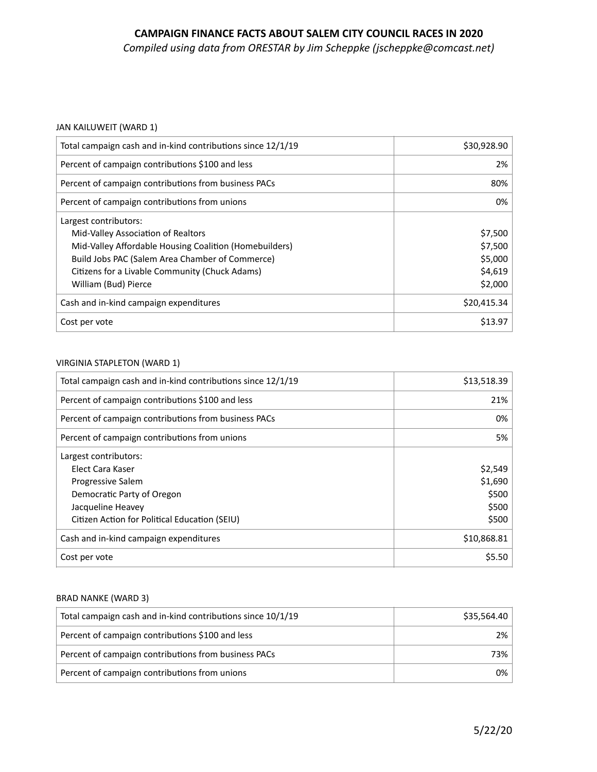# **CAMPAIGN FINANCE FACTS ABOUT SALEM CITY COUNCIL RACES IN 2020**

*Compiled using data from ORESTAR by Jim Scheppke (jscheppke@comcast.net)* 

### JAN KAILUWEIT (WARD 1)

| Total campaign cash and in-kind contributions since 12/1/19                                                                                                                                                                                        | \$30,928.90                                         |
|----------------------------------------------------------------------------------------------------------------------------------------------------------------------------------------------------------------------------------------------------|-----------------------------------------------------|
| Percent of campaign contributions \$100 and less                                                                                                                                                                                                   | 2%                                                  |
| Percent of campaign contributions from business PACs                                                                                                                                                                                               | 80%                                                 |
| Percent of campaign contributions from unions                                                                                                                                                                                                      | 0%                                                  |
| Largest contributors:<br>Mid-Valley Association of Realtors<br>Mid-Valley Affordable Housing Coalition (Homebuilders)<br>Build Jobs PAC (Salem Area Chamber of Commerce)<br>Citizens for a Livable Community (Chuck Adams)<br>William (Bud) Pierce | \$7,500<br>\$7,500<br>\$5,000<br>\$4,619<br>\$2,000 |
| Cash and in-kind campaign expenditures                                                                                                                                                                                                             | \$20,415.34                                         |
| Cost per vote                                                                                                                                                                                                                                      | \$13.97                                             |
|                                                                                                                                                                                                                                                    |                                                     |

#### VIRGINIA STAPLETON (WARD 1)

| Total campaign cash and in-kind contributions since 12/1/19 | \$13,518.39 |
|-------------------------------------------------------------|-------------|
| Percent of campaign contributions \$100 and less            | 21%         |
| Percent of campaign contributions from business PACs        | 0%          |
| Percent of campaign contributions from unions               | 5%          |
| Largest contributors:                                       |             |
| Elect Cara Kaser                                            | \$2,549     |
| <b>Progressive Salem</b>                                    | \$1,690     |
| Democratic Party of Oregon                                  | \$500       |
| Jacqueline Heavey                                           | \$500       |
| Citizen Action for Political Education (SEIU)               | \$500       |
| Cash and in-kind campaign expenditures                      | \$10,868.81 |
| Cost per vote                                               | \$5.50      |

### BRAD NANKE (WARD 3)

| Total campaign cash and in-kind contributions since 10/1/19 | \$35,564.40 |
|-------------------------------------------------------------|-------------|
| Percent of campaign contributions \$100 and less            | 2%          |
| Percent of campaign contributions from business PACs        | 73%         |
| Percent of campaign contributions from unions               | 0%          |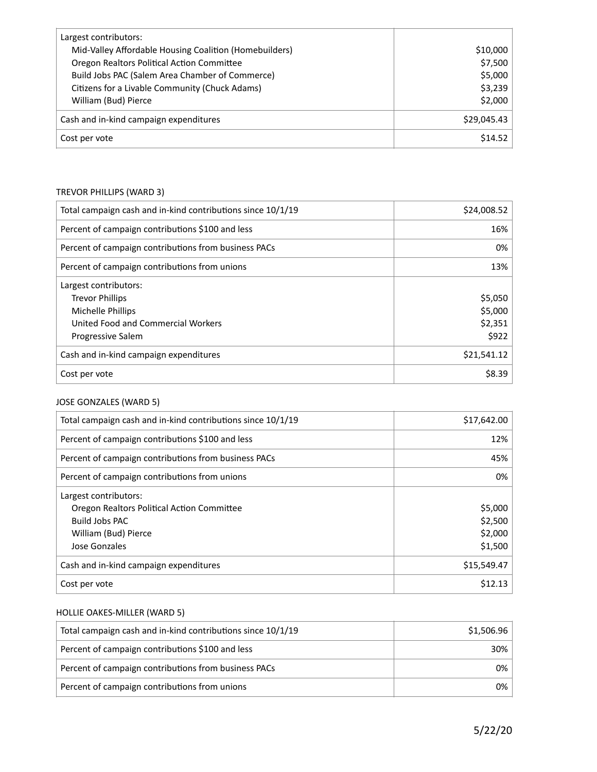| Largest contributors:                                  |             |
|--------------------------------------------------------|-------------|
| Mid-Valley Affordable Housing Coalition (Homebuilders) | \$10,000    |
| Oregon Realtors Political Action Committee             | \$7,500     |
| Build Jobs PAC (Salem Area Chamber of Commerce)        | \$5,000     |
| Citizens for a Livable Community (Chuck Adams)         | \$3,239     |
| William (Bud) Pierce                                   | \$2,000     |
| Cash and in-kind campaign expenditures                 | \$29,045.43 |
| Cost per vote                                          | \$14.52     |

### TREVOR PHILLIPS (WARD 3)

| Total campaign cash and in-kind contributions since 10/1/19 | \$24,008.52 |
|-------------------------------------------------------------|-------------|
| Percent of campaign contributions \$100 and less            | 16%         |
| Percent of campaign contributions from business PACs        | 0%          |
| Percent of campaign contributions from unions               | 13%         |
| Largest contributors:                                       |             |
| <b>Trevor Phillips</b>                                      | \$5,050     |
| Michelle Phillips                                           | \$5,000     |
| United Food and Commercial Workers                          | \$2,351     |
| <b>Progressive Salem</b>                                    | \$922       |
| Cash and in-kind campaign expenditures                      | \$21,541.12 |
| Cost per vote                                               | \$8.39      |

### JOSE GONZALES (WARD 5)

| Total campaign cash and in-kind contributions since 10/1/19 | \$17,642.00 |
|-------------------------------------------------------------|-------------|
| Percent of campaign contributions \$100 and less            | 12%         |
| Percent of campaign contributions from business PACs        | 45%         |
| Percent of campaign contributions from unions               | 0%          |
| Largest contributors:                                       |             |
| Oregon Realtors Political Action Committee                  | \$5,000     |
| Build Jobs PAC                                              | \$2,500     |
| William (Bud) Pierce                                        | \$2,000     |
| Jose Gonzales                                               | \$1,500     |
| Cash and in-kind campaign expenditures                      | \$15,549.47 |
| Cost per vote                                               | \$12.13     |

# HOLLIE OAKES-MILLER (WARD 5)

| Total campaign cash and in-kind contributions since 10/1/19 | \$1,506.96 |
|-------------------------------------------------------------|------------|
| Percent of campaign contributions \$100 and less            | 30%        |
| Percent of campaign contributions from business PACs        | 0%         |
| Percent of campaign contributions from unions               | 0%         |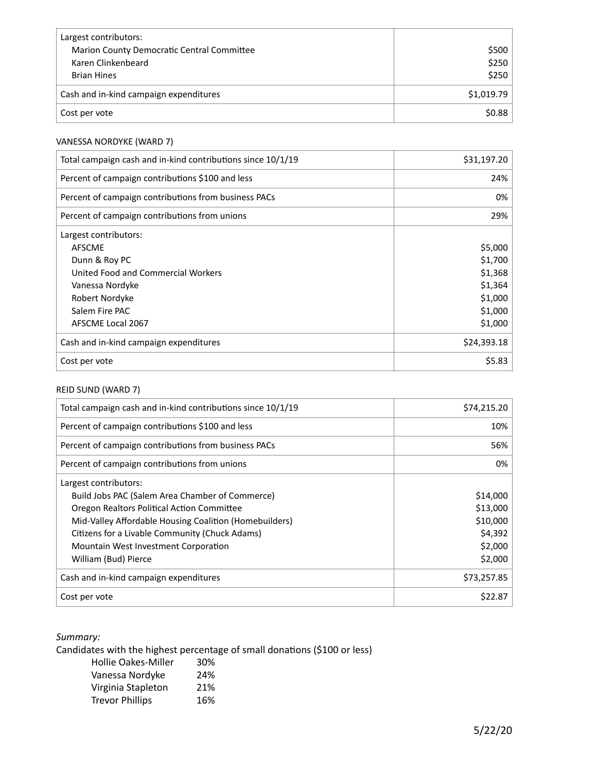| Largest contributors:                      |            |
|--------------------------------------------|------------|
| Marion County Democratic Central Committee | \$500      |
| Karen Clinkenbeard                         | \$250      |
| <b>Brian Hines</b>                         | \$250      |
| Cash and in-kind campaign expenditures     | \$1,019.79 |
| Cost per vote                              | \$0.88     |

# VANESSA NORDYKE (WARD 7)

| Total campaign cash and in-kind contributions since 10/1/19 | \$31,197.20 |
|-------------------------------------------------------------|-------------|
| Percent of campaign contributions \$100 and less            | 24%         |
| Percent of campaign contributions from business PACs        | 0%          |
| Percent of campaign contributions from unions               | 29%         |
| Largest contributors:                                       |             |
| <b>AFSCME</b>                                               | \$5,000     |
| Dunn & Roy PC                                               | \$1,700     |
| United Food and Commercial Workers                          | \$1,368     |
| Vanessa Nordyke                                             | \$1,364     |
| Robert Nordyke                                              | \$1,000     |
| Salem Fire PAC                                              | \$1,000     |
| AFSCME Local 2067                                           | \$1,000     |
| Cash and in-kind campaign expenditures                      | \$24,393.18 |
| Cost per vote                                               | \$5.83      |

# REID SUND (WARD 7)

| Total campaign cash and in-kind contributions since 10/1/19 | \$74,215.20 |
|-------------------------------------------------------------|-------------|
| Percent of campaign contributions \$100 and less            | 10%         |
| Percent of campaign contributions from business PACs        | 56%         |
| Percent of campaign contributions from unions               | 0%          |
| Largest contributors:                                       |             |
| Build Jobs PAC (Salem Area Chamber of Commerce)             | \$14,000    |
| Oregon Realtors Political Action Committee                  | \$13,000    |
| Mid-Valley Affordable Housing Coalition (Homebuilders)      | \$10,000    |
| Citizens for a Livable Community (Chuck Adams)              | \$4,392     |
| Mountain West Investment Corporation                        | \$2,000     |
| William (Bud) Pierce                                        | \$2,000     |
| Cash and in-kind campaign expenditures                      | \$73,257.85 |
| Cost per vote                                               | \$22.87     |

# *Summary:*

Candidates with the highest percentage of small donations (\$100 or less)

| <b>Hollie Oakes-Miller</b> | 30% |
|----------------------------|-----|
| Vanessa Nordyke            | 24% |
| Virginia Stapleton         | 21% |
| <b>Trevor Phillips</b>     | 16% |